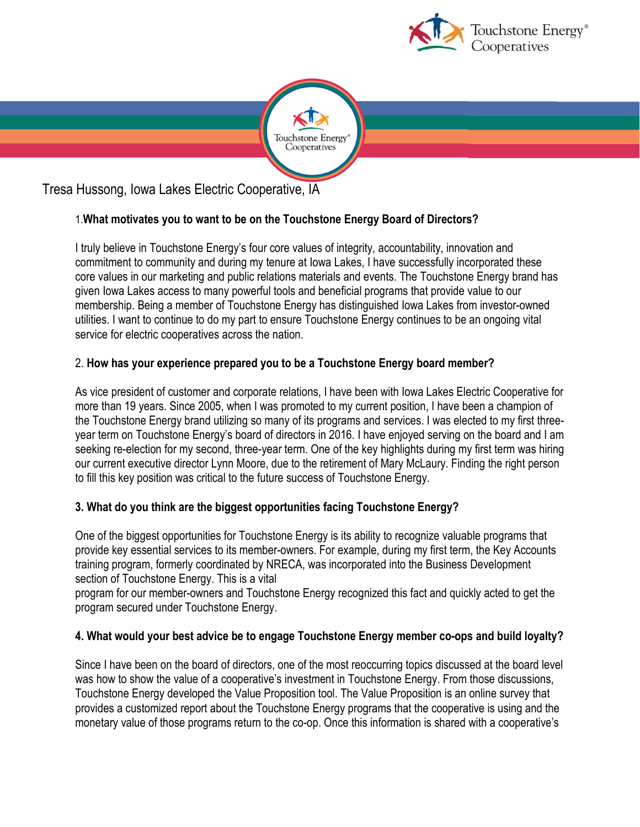



Tresa Hussong, Iowa Lakes Electric Cooperative, IA

# 1.**What motivates you to want to be on the Touchstone Energy Board of Directors?**

I truly believe in Touchstone Energy's four core values of integrity, accountability, innovation and commitment to community and during my tenure at Iowa Lakes, I have successfully incorporated these core values in our marketing and public relations materials and events. The Touchstone Energy brand has given Iowa Lakes access to many powerful tools and beneficial programs that provide value to our membership. Being a member of Touchstone Energy has distinguished Iowa Lakes from investor-owned utilities. I want to continue to do my part to ensure Touchstone Energy continues to be an ongoing vital service for electric cooperatives across the nation.

## 2. **How has your experience prepared you to be a Touchstone Energy board member?**

As vice president of customer and corporate relations, I have been with Iowa Lakes Electric Cooperative for more than 19 years. Since 2005, when I was promoted to my current position, I have been a champion of the Touchstone Energy brand utilizing so many of its programs and services. I was elected to my first threeyear term on Touchstone Energy's board of directors in 2016. I have enjoyed serving on the board and I am seeking re-election for my second, three-year term. One of the key highlights during my first term was hiring our current executive director Lynn Moore, due to the retirement of Mary McLaury. Finding the right person to fill this key position was critical to the future success of Touchstone Energy.

## **3. What do you think are the biggest opportunities facing Touchstone Energy?**

One of the biggest opportunities for Touchstone Energy is its ability to recognize valuable programs that provide key essential services to its member-owners. For example, during my first term, the Key Accounts training program, formerly coordinated by NRECA, was incorporated into the Business Development section of Touchstone Energy. This is a vital

program for our member-owners and Touchstone Energy recognized this fact and quickly acted to get the program secured under Touchstone Energy.

## **4. What would your best advice be to engage Touchstone Energy member co-ops and build loyalty?**

Since I have been on the board of directors, one of the most reoccurring topics discussed at the board level was how to show the value of a cooperative's investment in Touchstone Energy. From those discussions, Touchstone Energy developed the Value Proposition tool. The Value Proposition is an online survey that provides a customized report about the Touchstone Energy programs that the cooperative is using and the monetary value of those programs return to the co-op. Once this information is shared with a cooperative's